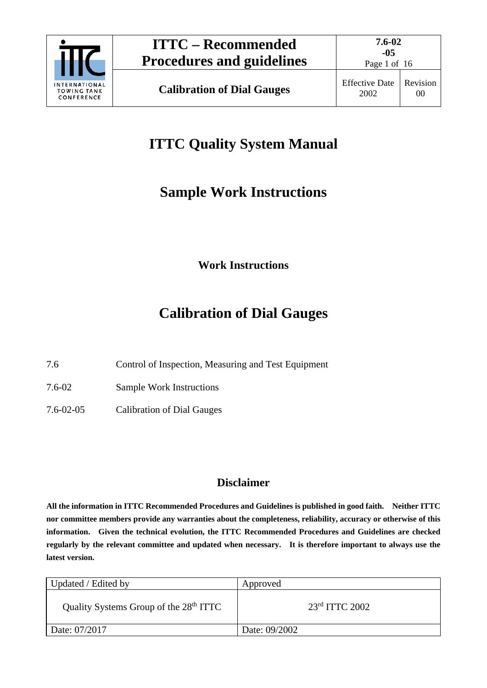

# **ITTC Quality System Manual**

## **Sample Work Instructions**

**Work Instructions**

# **Calibration of Dial Gauges**

7.6 Control of Inspection, Measuring and Test Equipment

7.6-02 Sample Work Instructions

7.6-02-05 Calibration of Dial Gauges

## **Disclaimer**

**All the information in ITTC Recommended Procedures and Guidelines is published in good faith. Neither ITTC nor committee members provide any warranties about the completeness, reliability, accuracy or otherwise of this information. Given the technical evolution, the ITTC Recommended Procedures and Guidelines are checked regularly by the relevant committee and updated when necessary. It is therefore important to always use the latest version.**

| Updated / Edited by                                | Approved           |
|----------------------------------------------------|--------------------|
| Quality Systems Group of the 28 <sup>th</sup> ITTC | $23rd$ ITTC $2002$ |
| Date: 07/2017                                      | Date: 09/2002      |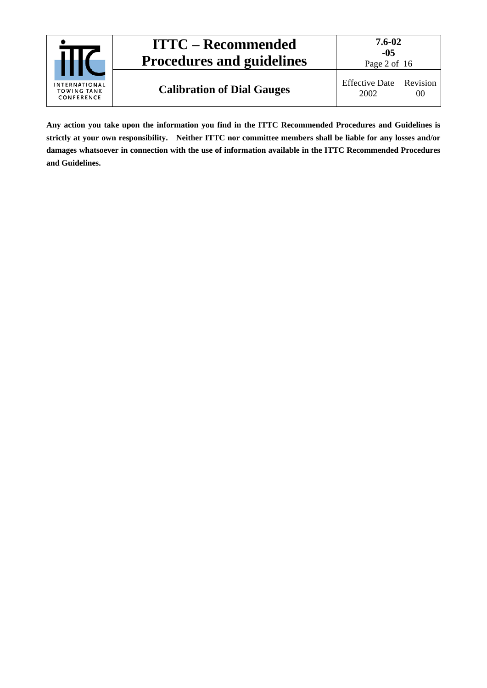| <b>ITTC – Recommended</b><br><b>Procedures and guidelines</b> | $7.6 - 02$<br>-05<br>Page 2 of 16 |                               |                |
|---------------------------------------------------------------|-----------------------------------|-------------------------------|----------------|
| <b>INTERNATIONAL</b><br><b>TOWING TANK</b><br>CONFERENCE      | <b>Calibration of Dial Gauges</b> | <b>Effective Date</b><br>2002 | Revision<br>00 |

**Any action you take upon the information you find in the ITTC Recommended Procedures and Guidelines is strictly at your own responsibility. Neither ITTC nor committee members shall be liable for any losses and/or damages whatsoever in connection with the use of information available in the ITTC Recommended Procedures and Guidelines.**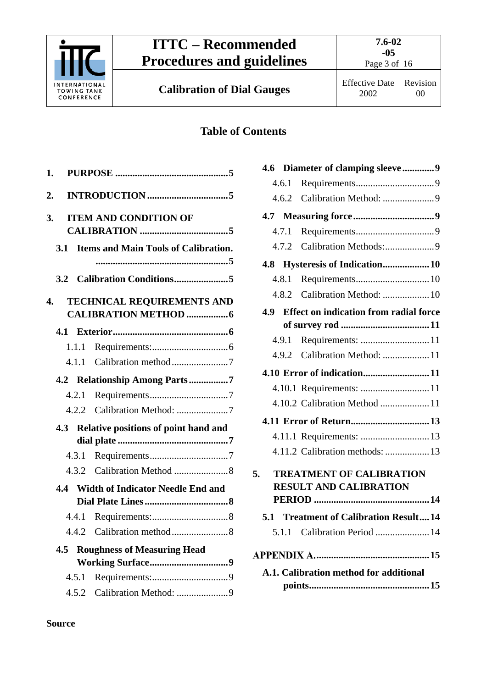

Page 3 of 16

**Calibration of Dial Gauges** Effective Date

## **Table of Contents**

| 1.  |       |                                             |
|-----|-------|---------------------------------------------|
| 2.  |       |                                             |
| 3.  |       | <b>ITEM AND CONDITION OF</b>                |
| 3.1 |       | <b>Items and Main Tools of Calibration.</b> |
|     |       |                                             |
| 4.  |       | <b>TECHNICAL REQUIREMENTS AND</b>           |
| 4.1 |       |                                             |
|     | 1.1.1 |                                             |
|     | 4.1.1 | Calibration method7                         |
|     |       | 4.2 Relationship Among Parts7               |
|     | 4.2.1 |                                             |
|     |       | 4.2.2 Calibration Method: 7                 |
| 4.3 |       | Relative positions of point hand and        |
|     | 4.3.1 |                                             |
|     |       |                                             |
| 4.4 |       | <b>Width of Indicator Needle End and</b>    |
|     |       |                                             |
|     | 4.4.1 |                                             |
|     |       |                                             |
| 4.5 |       | <b>Roughness of Measuring Head</b>          |
|     | 4.5.1 |                                             |
|     | 4.5.2 | Calibration Method: 9                       |

|       | 4.6 Diameter of clamping sleeve9              |
|-------|-----------------------------------------------|
| 4.6.1 |                                               |
|       |                                               |
|       |                                               |
| 4.7.1 |                                               |
|       |                                               |
|       |                                               |
| 4.8.1 |                                               |
| 4.8.2 | Calibration Method:  10                       |
| 4.9   | <b>Effect on indication from radial force</b> |
|       |                                               |
| 4.9.1 |                                               |
|       | 4.9.2 Calibration Method: 11                  |
|       |                                               |
|       |                                               |
|       | 4.10.2 Calibration Method 11                  |
|       |                                               |
|       |                                               |
|       | 4.11.2 Calibration methods:  13               |
| 5.    | <b>TREATMENT OF CALIBRATION</b>               |
|       | <b>RESULT AND CALIBRATION</b>                 |
|       |                                               |
|       | 5.1 Treatment of Calibration Result14         |
|       | 5.1.1 Calibration Period  14                  |
|       |                                               |
|       | A.1. Calibration method for additional        |
|       |                                               |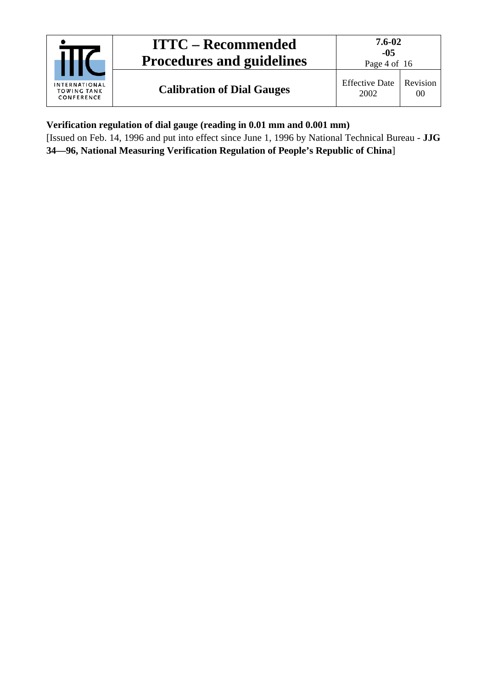|                                                          | <b>ITTC – Recommended</b><br><b>Procedures and guidelines</b> | 7.6-02<br>$-0.5$<br>Page 4 of 16 |                |
|----------------------------------------------------------|---------------------------------------------------------------|----------------------------------|----------------|
| <b>INTERNATIONAL</b><br><b>TOWING TANK</b><br>CONFERENCE | <b>Calibration of Dial Gauges</b>                             | <b>Effective Date</b><br>2002    | Revision<br>00 |

**Verification regulation of dial gauge (reading in 0.01 mm and 0.001 mm)**

[Issued on Feb. 14, 1996 and put into effect since June 1, 1996 by National Technical Bureau - **JJG 34—96, National Measuring Verification Regulation of People's Republic of China**]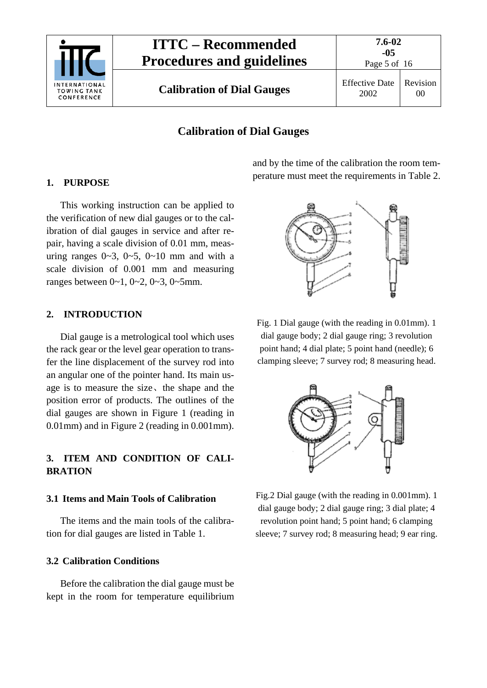

Page 5 of 16

00

## **Calibration of Dial Gauges**

### <span id="page-4-0"></span>**1. PURPOSE**

This working instruction can be applied to the verification of new dial gauges or to the calibration of dial gauges in service and after repair, having a scale division of 0.01 mm, measuring ranges  $0 \sim 3$ ,  $0 \sim 5$ ,  $0 \sim 10$  mm and with a scale division of 0.001 mm and measuring ranges between  $0 \sim 1$ ,  $0 \sim 2$ ,  $0 \sim 3$ ,  $0 \sim 5$ mm.

### <span id="page-4-1"></span>**2. INTRODUCTION**

Dial gauge is a metrological tool which uses the rack gear or the level gear operation to transfer the line displacement of the survey rod into an angular one of the pointer hand. Its main usage is to measure the size、the shape and the position error of products. The outlines of the dial gauges are shown in Figure 1 (reading in 0.01mm) and in Figure 2 (reading in 0.001mm).

## <span id="page-4-2"></span>**3. ITEM AND CONDITION OF CALI-BRATION**

#### <span id="page-4-3"></span>**3.1 Items and Main Tools of Calibration**

The items and the main tools of the calibration for dial gauges are listed in Table 1.

## <span id="page-4-4"></span>**3.2 Calibration Conditions**

Before the calibration the dial gauge must be kept in the room for temperature equilibrium and by the time of the calibration the room temperature must meet the requirements in Table 2.



Fig. 1 Dial gauge (with the reading in 0.01mm). 1 dial gauge body; 2 dial gauge ring; 3 revolution point hand; 4 dial plate; 5 point hand (needle); 6 clamping sleeve; 7 survey rod; 8 measuring head.



Fig.2 Dial gauge (with the reading in 0.001mm). 1 dial gauge body; 2 dial gauge ring; 3 dial plate; 4 revolution point hand; 5 point hand; 6 clamping sleeve; 7 survey rod; 8 measuring head; 9 ear ring.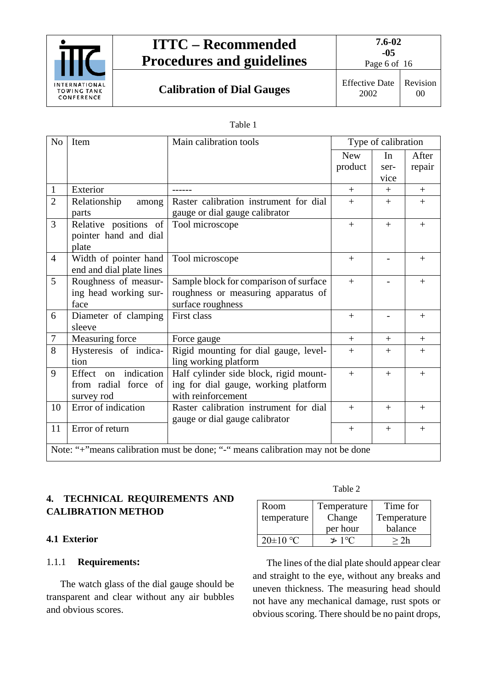

Page 6 of 16

**Calibration of Dial Gauges** Effective Date

2002

Revision 00

#### Table 1

| N <sub>o</sub>                                                                 | Item                     | Main calibration tools                 |            | Type of calibration |        |
|--------------------------------------------------------------------------------|--------------------------|----------------------------------------|------------|---------------------|--------|
|                                                                                |                          |                                        | <b>New</b> | In                  | After  |
|                                                                                |                          |                                        | product    | ser-                | repair |
|                                                                                |                          |                                        |            | vice                |        |
| $\mathbf{1}$                                                                   | Exterior                 |                                        | $+$        | $+$                 | $+$    |
| $\overline{2}$                                                                 | Relationship<br>among    | Raster calibration instrument for dial | $+$        | $+$                 | $+$    |
|                                                                                | parts                    | gauge or dial gauge calibrator         |            |                     |        |
| $\overline{3}$                                                                 | Relative positions of    | Tool microscope                        | $+$        | $+$                 | $+$    |
|                                                                                | pointer hand and dial    |                                        |            |                     |        |
|                                                                                | plate                    |                                        |            |                     |        |
| $\overline{4}$                                                                 | Width of pointer hand    | Tool microscope                        | $+$        |                     | $+$    |
|                                                                                | end and dial plate lines |                                        |            |                     |        |
| 5                                                                              | Roughness of measur-     | Sample block for comparison of surface | $+$        |                     | $+$    |
|                                                                                | ing head working sur-    | roughness or measuring apparatus of    |            |                     |        |
|                                                                                | face                     | surface roughness                      |            |                     |        |
| 6                                                                              | Diameter of clamping     | First class                            | $+$        |                     | $+$    |
|                                                                                | sleeve                   |                                        |            |                     |        |
| 7                                                                              | Measuring force          | Force gauge                            | $^{+}$     | $^{+}$              | $+$    |
| 8                                                                              | Hysteresis of indica-    | Rigid mounting for dial gauge, level-  | $+$        | $+$                 | $+$    |
|                                                                                | tion                     | ling working platform                  |            |                     |        |
| 9                                                                              | Effect on indication     | Half cylinder side block, rigid mount- | $+$        | $+$                 | $+$    |
|                                                                                | from radial force of     | ing for dial gauge, working platform   |            |                     |        |
|                                                                                | survey rod               | with reinforcement                     |            |                     |        |
| 10                                                                             | Error of indication      | Raster calibration instrument for dial | $+$        | $+$                 | $+$    |
|                                                                                |                          | gauge or dial gauge calibrator         |            |                     |        |
| 11                                                                             | Error of return          |                                        | $+$        | $+$                 | $+$    |
| Note: "+"means calibration must be done; "-" means calibration may not be done |                          |                                        |            |                     |        |
|                                                                                |                          |                                        |            |                     |        |

## <span id="page-5-0"></span>**4. TECHNICAL REQUIREMENTS AND CALIBRATION METHOD**

## <span id="page-5-2"></span><span id="page-5-1"></span>**4.1 Exterior**

## 1.1.1 **Requirements:**

The watch glass of the dial gauge should be transparent and clear without any air bubbles and obvious scores.

Table 2

| Room         | Temperature    | Time for    |
|--------------|----------------|-------------|
| temperature  | Change         | Temperature |
|              | per hour       | balance     |
| $20\pm10$ °C | $\approx 1$ °C | >7h         |

The lines of the dial plate should appear clear and straight to the eye, without any breaks and uneven thickness. The measuring head should not have any mechanical damage, rust spots or obvious scoring. There should be no paint drops,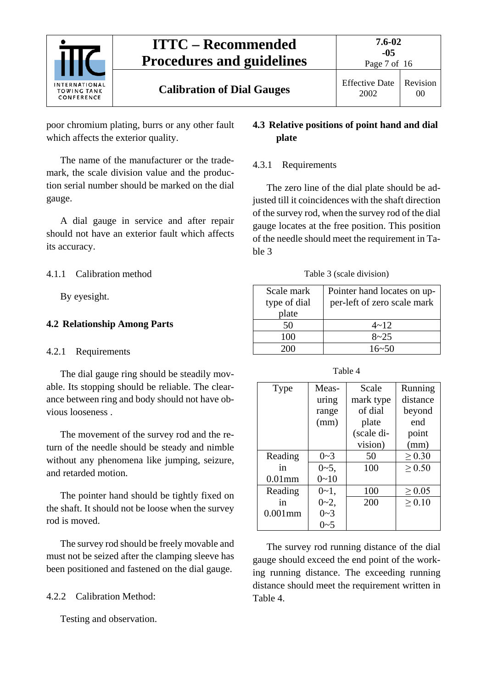

poor chromium plating, burrs or any other fault which affects the exterior quality.

The name of the manufacturer or the trademark, the scale division value and the production serial number should be marked on the dial gauge.

A dial gauge in service and after repair should not have an exterior fault which affects its accuracy.

<span id="page-6-0"></span>4.1.1 Calibration method

By eyesight.

## <span id="page-6-2"></span><span id="page-6-1"></span>**4.2 Relationship Among Parts**

#### 4.2.1 Requirements

The dial gauge ring should be steadily movable. Its stopping should be reliable. The clearance between ring and body should not have obvious looseness .

The movement of the survey rod and the return of the needle should be steady and nimble without any phenomena like jumping, seizure, and retarded motion.

The pointer hand should be tightly fixed on the shaft. It should not be loose when the survey rod is moved.

The survey rod should be freely movable and must not be seized after the clamping sleeve has been positioned and fastened on the dial gauge.

## <span id="page-6-3"></span>4.2.2 Calibration Method:

Testing and observation.

## <span id="page-6-4"></span>**4.3 Relative positions of point hand and dial plate**

### <span id="page-6-5"></span>4.3.1 Requirements

The zero line of the dial plate should be adjusted till it coincidences with the shaft direction of the survey rod, when the survey rod of the dial gauge locates at the free position. This position of the needle should meet the requirement in Table 3

Table 3 (scale division)

| Scale mark<br>type of dial<br>plate | Pointer hand locates on up-<br>per-left of zero scale mark |
|-------------------------------------|------------------------------------------------------------|
| 50                                  | $4 - 12$                                                   |
| 100                                 | $8 - 25$                                                   |
| 200                                 | $16 - 50$                                                  |

| Type       | Meas-     | Scale      | Running     |
|------------|-----------|------------|-------------|
|            | uring     | mark type  | distance    |
|            | range     | of dial    | beyond      |
|            | (mm)      | plate      | end         |
|            |           | (scale di- | point       |
|            |           | vision)    | (mm)        |
| Reading    | $0 - 3$   | 50         | $\geq 0.30$ |
| in         | $0 - 5$ , | 100        | > 0.50      |
| $0.01$ mm  | $0 - 10$  |            |             |
| Reading    | $0 - 1$ , | 100        | $\geq 0.05$ |
| in         | $0 - 2$ , | 200        | $\geq 0.10$ |
| $0.001$ mm | $0 - 3$   |            |             |
|            | $0 - 5$   |            |             |

The survey rod running distance of the dial gauge should exceed the end point of the working running distance. The exceeding running distance should meet the requirement written in Table 4.

Table 4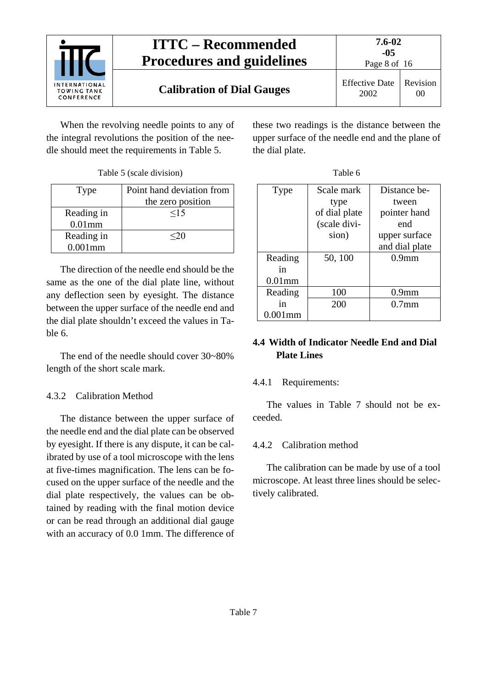

When the revolving needle points to any of the integral revolutions the position of the needle should meet the requirements in Table 5.

|  | Table 5 (scale division) |
|--|--------------------------|
|  |                          |

| Type                     | Point hand deviation from<br>the zero position |
|--------------------------|------------------------------------------------|
| Reading in<br>$0.01$ mm  | $\leq$ 15                                      |
| Reading in<br>$0.001$ mm | $\leq$ 20                                      |

The direction of the needle end should be the same as the one of the dial plate line, without any deflection seen by eyesight. The distance between the upper surface of the needle end and the dial plate shouldn't exceed the values in Table 6.

The end of the needle should cover 30~80% length of the short scale mark.

## <span id="page-7-0"></span>4.3.2 Calibration Method

The distance between the upper surface of the needle end and the dial plate can be observed by eyesight. If there is any dispute, it can be calibrated by use of a tool microscope with the lens at five-times magnification. The lens can be focused on the upper surface of the needle and the dial plate respectively, the values can be obtained by reading with the final motion device or can be read through an additional dial gauge with an accuracy of 0.0 1mm. The difference of these two readings is the distance between the upper surface of the needle end and the plane of the dial plate.

| Type       | Scale mark    | Distance be-      |
|------------|---------------|-------------------|
|            | type          | tween             |
|            | of dial plate | pointer hand      |
|            | (scale divi-  | end               |
|            | sion)         | upper surface     |
|            |               | and dial plate    |
| Reading    | 50, 100       | 0.9 <sub>mm</sub> |
| in         |               |                   |
| $0.01$ mm  |               |                   |
| Reading    | 100           | 0.9 <sub>mm</sub> |
| 1n         | 200           | 0.7 <sub>mm</sub> |
| $0.001$ mm |               |                   |

## <span id="page-7-1"></span>**4.4 Width of Indicator Needle End and Dial Plate Lines**

## <span id="page-7-2"></span>4.4.1 Requirements:

The values in Table 7 should not be exceeded.

## <span id="page-7-3"></span>4.4.2 Calibration method

The calibration can be made by use of a tool microscope. At least three lines should be selectively calibrated.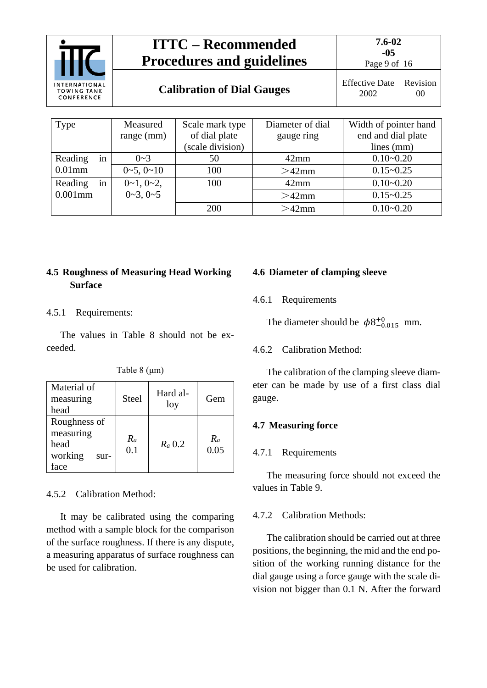|                                                   |             | <b>ITTC – Recommended</b><br><b>Procedures and guidelines</b> |                       | $7.6 - 02$<br>$-05$<br>Page 9 of 16 |                |  |  |
|---------------------------------------------------|-------------|---------------------------------------------------------------|-----------------------|-------------------------------------|----------------|--|--|
| INTERNATIONAL<br><b>TOWING TANK</b><br>CONFERENCE |             | <b>Calibration of Dial Gauges</b>                             |                       | <b>Effective Date</b><br>2002       | Revision<br>00 |  |  |
|                                                   |             |                                                               |                       |                                     |                |  |  |
| Type                                              | Measured    | Scale mark type                                               | Width of pointer hand |                                     |                |  |  |
|                                                   | range (mm)  | of dial plate                                                 | gauge ring            | end and dial plate                  |                |  |  |
|                                                   |             | (scale division)                                              |                       | lines (mm)                          |                |  |  |
| Reading<br>in                                     | $0 - 3$     | 50                                                            | $42$ mm               | $0.10 - 0.20$                       |                |  |  |
| $0.01$ mm                                         | $0-5, 0-10$ | 100                                                           | $>42$ mm              | $0.15 - 0.25$                       |                |  |  |

## <span id="page-8-0"></span>**4.5 Roughness of Measuring Head Working Surface**

 $0-1, 0-2,$  $0 - 3$ ,  $0 - 5$ 

#### <span id="page-8-1"></span>4.5.1 Requirements:

Reading in 0.001mm

The values in Table 8 should not be exceeded.

| Table $8 \, (\mu m)$ |  |  |
|----------------------|--|--|
|----------------------|--|--|

| Material of<br>measuring<br>head                             | <b>Steel</b> | Hard al-<br>loy | Gem           |
|--------------------------------------------------------------|--------------|-----------------|---------------|
| Roughness of<br>measuring<br>head<br>working<br>sur-<br>face | $R_a$<br>0.1 | $Ra$ 0.2        | $R_a$<br>0.05 |

#### <span id="page-8-2"></span>4.5.2 Calibration Method:

It may be calibrated using the comparing method with a sample block for the comparison of the surface roughness. If there is any dispute, a measuring apparatus of surface roughness can be used for calibration.

#### <span id="page-8-4"></span><span id="page-8-3"></span>**4.6 Diameter of clamping sleeve**

100 100 12mm 0.10~0.20

200  $>42$ mm 0.10~0.20

4.6.1 Requirements

The diameter should be  $\phi_{}^{8+0.015}$  mm.

 $>42$ mm  $0.15~0.25$ 

#### <span id="page-8-5"></span>4.6.2 Calibration Method:

The calibration of the clamping sleeve diameter can be made by use of a first class dial gauge.

#### <span id="page-8-7"></span><span id="page-8-6"></span>**4.7 Measuring force**

#### 4.7.1 Requirements

The measuring force should not exceed the values in Table 9.

#### <span id="page-8-8"></span>4.7.2 Calibration Methods:

The calibration should be carried out at three positions, the beginning, the mid and the end position of the working running distance for the dial gauge using a force gauge with the scale division not bigger than 0.1 N. After the forward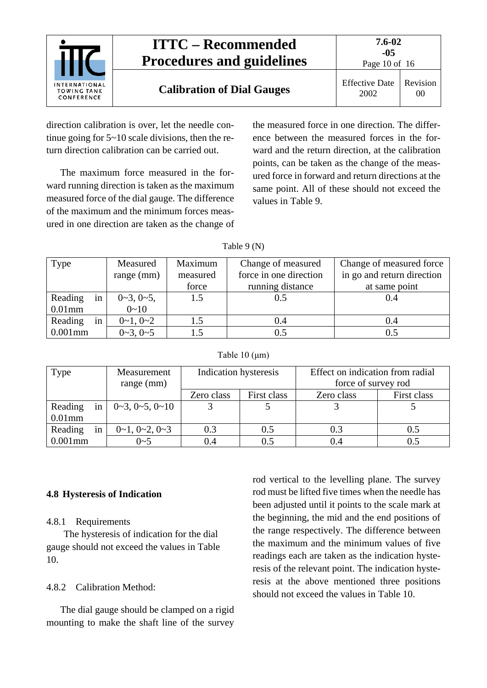

direction calibration is over, let the needle continue going for 5~10 scale divisions, then the return direction calibration can be carried out.

The maximum force measured in the forward running direction is taken as the maximum measured force of the dial gauge. The difference of the maximum and the minimum forces measured in one direction are taken as the change of the measured force in one direction. The difference between the measured forces in the forward and the return direction, at the calibration points, can be taken as the change of the measured force in forward and return directions at the same point. All of these should not exceed the values in Table 9.

| Table 9 (N) |
|-------------|
|-------------|

| Type                       | Measured<br>range (mm)        | Maximum<br>measured<br>force | Change of measured<br>force in one direction<br>running distance | Change of measured force<br>in go and return direction<br>at same point |  |
|----------------------------|-------------------------------|------------------------------|------------------------------------------------------------------|-------------------------------------------------------------------------|--|
| in<br>Reading<br>$0.01$ mm | $0\sim3, 0\sim5,$<br>$0 - 10$ | 1.5                          | 0.5                                                              | 0.4                                                                     |  |
| Reading<br>in              | $0\sim1, 0\sim2$              | 1.5                          | 0.4                                                              | 0.4                                                                     |  |
| $0.001$ mm                 | $0\sim3, 0\sim5$              | 1.5                          | 0.5                                                              | 0.5                                                                     |  |

#### Table 10 (μm)

| Type          | Measurement              | Indication hysteresis |             | Effect on indication from radial |             |  |  |  |
|---------------|--------------------------|-----------------------|-------------|----------------------------------|-------------|--|--|--|
|               | range (mm)               |                       |             | force of survey rod              |             |  |  |  |
|               |                          | Zero class            | First class | Zero class                       | First class |  |  |  |
| Reading<br>in | $0-3, 0-5, 0-10$         |                       |             |                                  |             |  |  |  |
| $0.01$ mm     |                          |                       |             |                                  |             |  |  |  |
| Reading<br>in | $0\sim1, 0\sim2, 0\sim3$ | 0.3<br>0.5            |             | 0.3                              | 0.5         |  |  |  |
| $0.001$ mm    | $0 - 5$                  | 0.4                   |             | ).4                              | 0.5         |  |  |  |

#### <span id="page-9-1"></span><span id="page-9-0"></span>**4.8 Hysteresis of Indication**

#### 4.8.1 Requirements

The hysteresis of indication for the dial gauge should not exceed the values in Table 10.

<span id="page-9-2"></span>4.8.2 Calibration Method:

The dial gauge should be clamped on a rigid mounting to make the shaft line of the survey

rod vertical to the levelling plane. The survey rod must be lifted five times when the needle has been adjusted until it points to the scale mark at the beginning, the mid and the end positions of the range respectively. The difference between the maximum and the minimum values of five readings each are taken as the indication hysteresis of the relevant point. The indication hysteresis at the above mentioned three positions should not exceed the values in Table 10.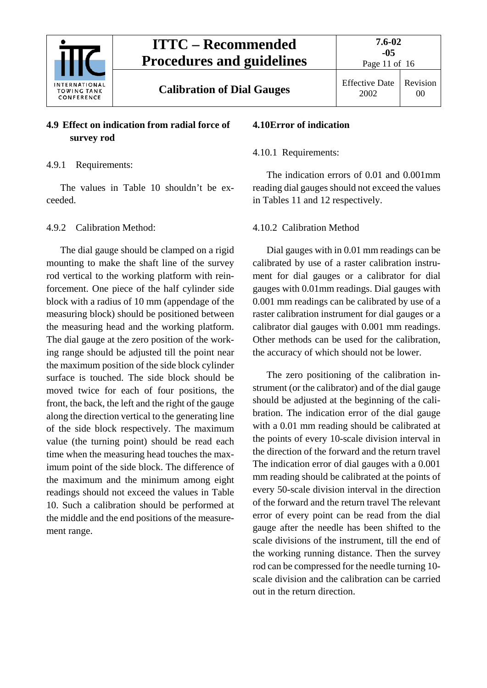

Revision 00

**Calibration of Dial Gauges** Effective Date

## <span id="page-10-0"></span>**4.9 Effect on indication from radial force of survey rod**

## <span id="page-10-1"></span>4.9.1 Requirements:

The values in Table 10 shouldn't be exceeded.

### <span id="page-10-2"></span>4.9.2 Calibration Method:

The dial gauge should be clamped on a rigid mounting to make the shaft line of the survey rod vertical to the working platform with reinforcement. One piece of the half cylinder side block with a radius of 10 mm (appendage of the measuring block) should be positioned between the measuring head and the working platform. The dial gauge at the zero position of the working range should be adjusted till the point near the maximum position of the side block cylinder surface is touched. The side block should be moved twice for each of four positions, the front, the back, the left and the right of the gauge along the direction vertical to the generating line of the side block respectively. The maximum value (the turning point) should be read each time when the measuring head touches the maximum point of the side block. The difference of the maximum and the minimum among eight readings should not exceed the values in Table 10. Such a calibration should be performed at the middle and the end positions of the measurement range.

## <span id="page-10-4"></span><span id="page-10-3"></span>**4.10Error of indication**

### 4.10.1 Requirements:

The indication errors of 0.01 and 0.001mm reading dial gauges should not exceed the values in Tables 11 and 12 respectively.

### <span id="page-10-5"></span>4.10.2 Calibration Method

Dial gauges with in 0.01 mm readings can be calibrated by use of a raster calibration instrument for dial gauges or a calibrator for dial gauges with 0.01mm readings. Dial gauges with 0.001 mm readings can be calibrated by use of a raster calibration instrument for dial gauges or a calibrator dial gauges with 0.001 mm readings. Other methods can be used for the calibration, the accuracy of which should not be lower.

The zero positioning of the calibration instrument (or the calibrator) and of the dial gauge should be adjusted at the beginning of the calibration. The indication error of the dial gauge with a 0.01 mm reading should be calibrated at the points of every 10-scale division interval in the direction of the forward and the return travel The indication error of dial gauges with a 0.001 mm reading should be calibrated at the points of every 50-scale division interval in the direction of the forward and the return travel The relevant error of every point can be read from the dial gauge after the needle has been shifted to the scale divisions of the instrument, till the end of the working running distance. Then the survey rod can be compressed for the needle turning 10 scale division and the calibration can be carried out in the return direction.

2002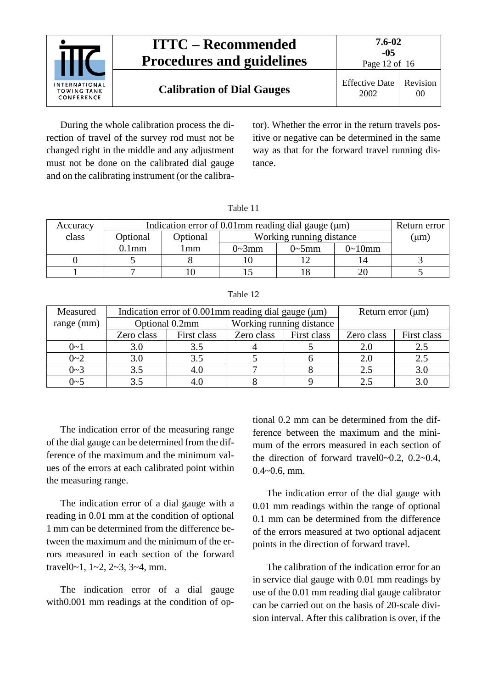

During the whole calibration process the direction of travel of the survey rod must not be changed right in the middle and any adjustment must not be done on the calibrated dial gauge and on the calibrating instrument (or the calibrator). Whether the error in the return travels positive or negative can be determined in the same way as that for the forward travel running distance.

| Accuracy | Indication error of $0.01$ mm reading dial gauge ( $\mu$ m) | Return error |                          |               |                |  |
|----------|-------------------------------------------------------------|--------------|--------------------------|---------------|----------------|--|
| class    | Optional                                                    | Optional     | Working running distance | $(\mu m)$     |                |  |
|          | $0.1$ mm                                                    | l mm         | $0 \sim 3$ mm            | $0 \sim 5$ mm | $0 \sim 10$ mm |  |
|          |                                                             |              |                          |               | 14             |  |
|          |                                                             |              |                          |               | 20             |  |

Table 12

Table 11

| Measured     |            | Indication error of $0.001$ mm reading dial gauge ( $\mu$ m) | Return error $(\mu m)$ |                          |            |             |
|--------------|------------|--------------------------------------------------------------|------------------------|--------------------------|------------|-------------|
| $range$ (mm) |            | Optional 0.2mm                                               |                        | Working running distance |            |             |
|              | Zero class | First class                                                  | Zero class             | First class              | Zero class | First class |
| $0 - 1$      | 3.0        | 3.5                                                          |                        |                          | 2.0        | 2.5         |
| $0 - 2$      | 3.0        | 3.5                                                          |                        |                          | 2.0        | 2.5         |
| $0 - 3$      | 3.5        | 4.0                                                          |                        |                          | 2.5        | 3.0         |
| $0 - 5$      | 3.5        |                                                              |                        |                          | 2.3        | 3.0         |

The indication error of the measuring range of the dial gauge can be determined from the difference of the maximum and the minimum values of the errors at each calibrated point within the measuring range.

The indication error of a dial gauge with a reading in 0.01 mm at the condition of optional 1 mm can be determined from the difference between the maximum and the minimum of the errors measured in each section of the forward travel0~1, 1~2, 2~3, 3~4, mm.

The indication error of a dial gauge with $0.001$  mm readings at the condition of optional 0.2 mm can be determined from the difference between the maximum and the minimum of the errors measured in each section of the direction of forward travel0~0.2, 0.2~0.4, 0.4~0.6, mm.

The indication error of the dial gauge with 0.01 mm readings within the range of optional 0.1 mm can be determined from the difference of the errors measured at two optional adjacent points in the direction of forward travel.

The calibration of the indication error for an in service dial gauge with 0.01 mm readings by use of the 0.01 mm reading dial gauge calibrator can be carried out on the basis of 20-scale division interval. After this calibration is over, if the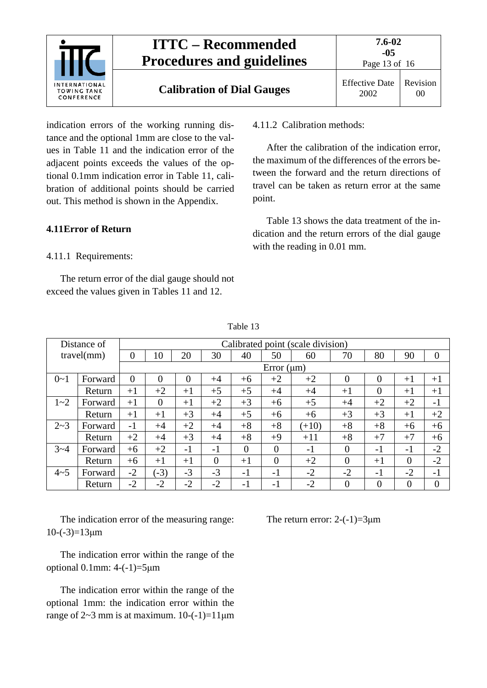

indication errors of the working running distance and the optional 1mm are close to the values in Table 11 and the indication error of the adjacent points exceeds the values of the optional 0.1mm indication error in Table 11, calibration of additional points should be carried out. This method is shown in the Appendix.

### <span id="page-12-1"></span><span id="page-12-0"></span>**4.11Error of Return**

#### 4.11.1 Requirements:

The return error of the dial gauge should not exceed the values given in Tables 11 and 12.

<span id="page-12-2"></span>4.11.2 Calibration methods:

After the calibration of the indication error, the maximum of the differences of the errors between the forward and the return directions of travel can be taken as return error at the same point.

Table 13 shows the data treatment of the indication and the return errors of the dial gauge with the reading in 0.01 mm.

|         | Distance of     | Calibrated point (scale division) |                |          |          |          |                 |         |                |                |                |                |
|---------|-----------------|-----------------------------------|----------------|----------|----------|----------|-----------------|---------|----------------|----------------|----------------|----------------|
|         | travel(mm)      | 0                                 | 10             | 20       | 30       | 40       | 50              | 60      | 70             | 80             | 90             | $\overline{0}$ |
|         |                 |                                   |                |          |          |          | Error $(\mu m)$ |         |                |                |                |                |
| $0 - 1$ | Forward         | $\theta$                          | $\theta$       | $\theta$ | $+4$     | $+6$     | $+2$            | $+2$    | $\Omega$       | $\theta$       | $+1$           | $+1$           |
|         | Return          | $+1$                              | $+2$           | $+1$     | $+5$     | $+5$     | $+4$            | $+4$    | $+1$           | $\overline{0}$ | $+1$           | $+1$           |
| $1 - 2$ | Forward         | $+1$                              | $\overline{0}$ | $+1$     | $+2$     | $+3$     | $+6$            | $+5$    | $+4$           | $+2$           | $+2$           | $-1$           |
|         | Return          | $+1$                              | $+1$           | $+3$     | $+4$     | $+5$     | $+6$            | $+6$    | $+3$           | $+3$           | $+1$           | $+2$           |
| $2 - 3$ | Forward         | $-1$                              | $+4$           | $+2$     | $+4$     | $+8$     | $+8$            | $(+10)$ | $+8$           | $+8$           | $+6$           | $+6$           |
|         | Return          | $+2$                              | $+4$           | $+3$     | $+4$     | $+8$     | $+9$            | $+11$   | $+8$           | $+7$           | $+7$           | $+6$           |
| $3 - 4$ | $+6$<br>Forward |                                   | $+2$           | $-1$     | $-1$     | $\theta$ | $\theta$        | $-1$    | $\overline{0}$ | $-1$           | $-1$           | $-2$           |
|         | Return          | $+6$                              | $+1$           | $+1$     | $\theta$ | $+1$     | $\overline{0}$  | $+2$    | $\overline{0}$ | $+1$           | $\overline{0}$ | $-2$           |
| $4 - 5$ | Forward         | $-2$                              | $-3)$          | $-3$     | $-3$     | $-1$     | $-1$            | $-2$    | $-2$           | $-1$           | $-2$           | $-1$           |
|         | Return          | $-2$                              | $-2$           | $-2$     | $-2$     | $-1$     | -1              | $-2$    | $\overline{0}$ | $\overline{0}$ | $\overline{0}$ | $\theta$       |

Table 13

The indication error of the measuring range:  $10-(-3)=13 \mu m$ 

The indication error within the range of the optional 0.1mm:  $4-(-1)=5 \mu m$ 

The indication error within the range of the optional 1mm: the indication error within the range of  $2~3$  mm is at maximum.  $10~(-1)=11~\mu m$  The return error:  $2-(-1)=3\mu m$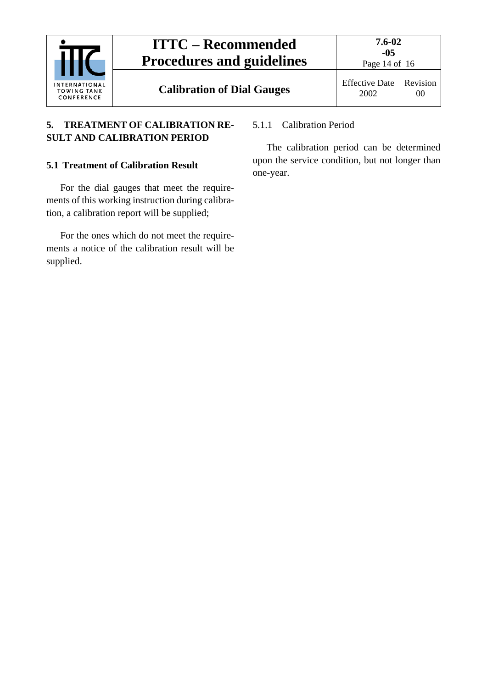|                                                          | <b>ITTC – Recommended</b><br><b>Procedures and guidelines</b> | $7.6 - 02$<br>$-0.5$<br>Page 14 of 16 |                |
|----------------------------------------------------------|---------------------------------------------------------------|---------------------------------------|----------------|
| <b>INTERNATIONAL</b><br><b>TOWING TANK</b><br>CONFERENCE | <b>Calibration of Dial Gauges</b>                             | <b>Effective Date</b><br>2002         | Revision<br>OC |

## <span id="page-13-0"></span>**5. TREATMENT OF CALIBRATION RE-SULT AND CALIBRATION PERIOD**

## <span id="page-13-1"></span>**5.1 Treatment of Calibration Result**

For the dial gauges that meet the requirements of this working instruction during calibration, a calibration report will be supplied;

For the ones which do not meet the requirements a notice of the calibration result will be supplied.

## <span id="page-13-2"></span>5.1.1 Calibration Period

The calibration period can be determined upon the service condition, but not longer than one-year.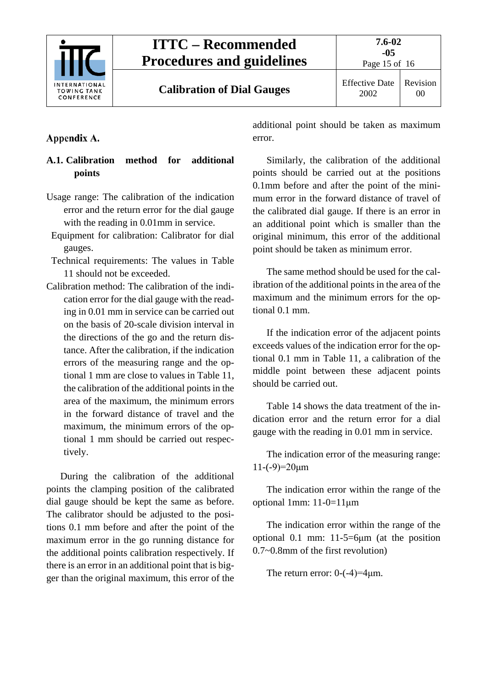

Page 15 of 16

00

## <span id="page-14-0"></span>Appendix A.

## <span id="page-14-1"></span>**A.1. Calibration method for additional points**

- Usage range: The calibration of the indication error and the return error for the dial gauge with the reading in 0.01mm in service.
- Equipment for calibration: Calibrator for dial gauges.
- Technical requirements: The values in Table 11 should not be exceeded.
- Calibration method: The calibration of the indication error for the dial gauge with the reading in 0.01 mm in service can be carried out on the basis of 20-scale division interval in the directions of the go and the return distance. After the calibration, if the indication errors of the measuring range and the optional 1 mm are close to values in Table 11, the calibration of the additional points in the area of the maximum, the minimum errors in the forward distance of travel and the maximum, the minimum errors of the optional 1 mm should be carried out respectively.

During the calibration of the additional points the clamping position of the calibrated dial gauge should be kept the same as before. The calibrator should be adjusted to the positions 0.1 mm before and after the point of the maximum error in the go running distance for the additional points calibration respectively. If there is an error in an additional point that is bigger than the original maximum, this error of the additional point should be taken as maximum error.

Similarly, the calibration of the additional points should be carried out at the positions 0.1mm before and after the point of the minimum error in the forward distance of travel of the calibrated dial gauge. If there is an error in an additional point which is smaller than the original minimum, this error of the additional point should be taken as minimum error.

The same method should be used for the calibration of the additional points in the area of the maximum and the minimum errors for the optional 0.1 mm.

If the indication error of the adjacent points exceeds values of the indication error for the optional 0.1 mm in Table 11, a calibration of the middle point between these adjacent points should be carried out.

Table 14 shows the data treatment of the indication error and the return error for a dial gauge with the reading in 0.01 mm in service.

The indication error of the measuring range:  $11$ -(-9)= $20 \mu m$ 

The indication error within the range of the optional 1mm: 11-0=11μm

The indication error within the range of the optional 0.1 mm: 11-5=6μm (at the position 0.7~0.8mm of the first revolution)

The return error:  $0$ - $(-4)$ = $4 \mu$ m.